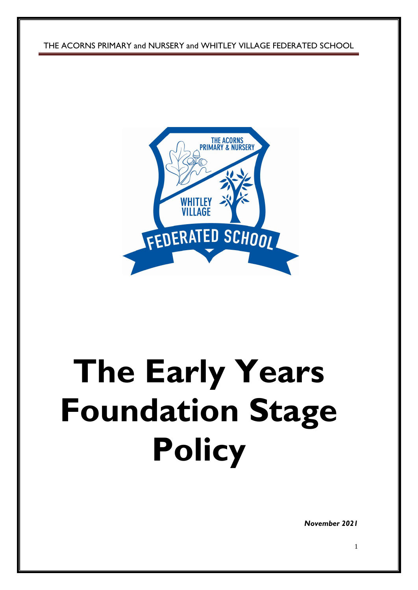THE ACORNS PRIMARY and NURSERY and WHITLEY VILLAGE FEDERATED SCHOOL



# **The Early Years Foundation Stage Policy**

*November 2021*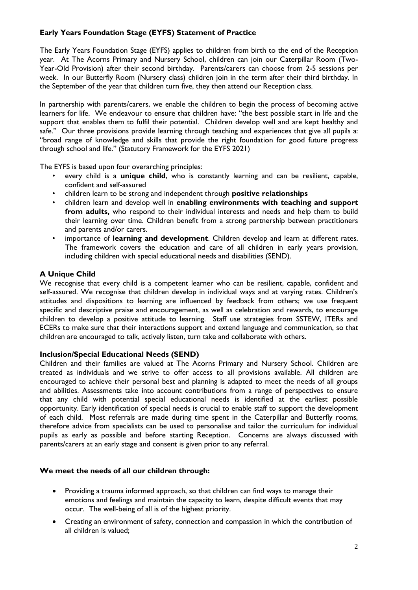# **Early Years Foundation Stage (EYFS) Statement of Practice**

The Early Years Foundation Stage (EYFS) applies to children from birth to the end of the Reception year. At The Acorns Primary and Nursery School, children can join our Caterpillar Room (Two-Year-Old Provision) after their second birthday. Parents/carers can choose from 2-5 sessions per week. In our Butterfly Room (Nursery class) children join in the term after their third birthday. In the September of the year that children turn five, they then attend our Reception class.

In partnership with parents/carers, we enable the children to begin the process of becoming active learners for life. We endeavour to ensure that children have: "the best possible start in life and the support that enables them to fulfil their potential. Children develop well and are kept healthy and safe." Our three provisions provide learning through teaching and experiences that give all pupils a: "broad range of knowledge and skills that provide the right foundation for good future progress through school and life." (Statutory Framework for the EYFS 2021)

The EYFS is based upon four overarching principles:

- every child is a **unique child**, who is constantly learning and can be resilient, capable, confident and self-assured
- children learn to be strong and independent through **positive relationships**
- children learn and develop well in **enabling environments with teaching and support from adults,** who respond to their individual interests and needs and help them to build their learning over time. Children benefit from a strong partnership between practitioners and parents and/or carers.
- importance of **learning and development**. Children develop and learn at different rates. The framework covers the education and care of all children in early years provision, including children with special educational needs and disabilities (SEND).

# **A Unique Child**

We recognise that every child is a competent learner who can be resilient, capable, confident and self-assured. We recognise that children develop in individual ways and at varying rates. Children's attitudes and dispositions to learning are influenced by feedback from others; we use frequent specific and descriptive praise and encouragement, as well as celebration and rewards, to encourage children to develop a positive attitude to learning. Staff use strategies from SSTEW, ITERs and ECERs to make sure that their interactions support and extend language and communication, so that children are encouraged to talk, actively listen, turn take and collaborate with others.

# **Inclusion/Special Educational Needs (SEND)**

Children and their families are valued at The Acorns Primary and Nursery School. Children are treated as individuals and we strive to offer access to all provisions available. All children are encouraged to achieve their personal best and planning is adapted to meet the needs of all groups and abilities. Assessments take into account contributions from a range of perspectives to ensure that any child with potential special educational needs is identified at the earliest possible opportunity. Early identification of special needs is crucial to enable staff to support the development of each child. Most referrals are made during time spent in the Caterpillar and Butterfly rooms, therefore advice from specialists can be used to personalise and tailor the curriculum for individual pupils as early as possible and before starting Reception. Concerns are always discussed with parents/carers at an early stage and consent is given prior to any referral.

#### **We meet the needs of all our children through:**

- Providing a trauma informed approach, so that children can find ways to manage their emotions and feelings and maintain the capacity to learn, despite difficult events that may occur. The well-being of all is of the highest priority.
- Creating an environment of safety, connection and compassion in which the contribution of all children is valued;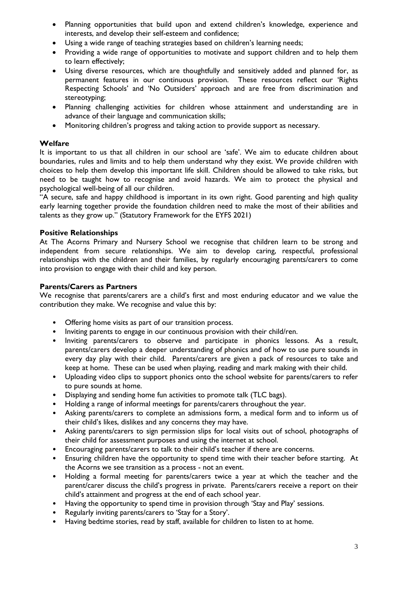- Planning opportunities that build upon and extend children's knowledge, experience and interests, and develop their self-esteem and confidence;
- Using a wide range of teaching strategies based on children's learning needs;
- Providing a wide range of opportunities to motivate and support children and to help them to learn effectively;
- Using diverse resources, which are thoughtfully and sensitively added and planned for, as permanent features in our continuous provision. These resources reflect our 'Rights Respecting Schools' and 'No Outsiders' approach and are free from discrimination and stereotyping;
- Planning challenging activities for children whose attainment and understanding are in advance of their language and communication skills;
- Monitoring children's progress and taking action to provide support as necessary.

# **Welfare**

It is important to us that all children in our school are 'safe'. We aim to educate children about boundaries, rules and limits and to help them understand why they exist. We provide children with choices to help them develop this important life skill. Children should be allowed to take risks, but need to be taught how to recognise and avoid hazards. We aim to protect the physical and psychological well-being of all our children.

"A secure, safe and happy childhood is important in its own right. Good parenting and high quality early learning together provide the foundation children need to make the most of their abilities and talents as they grow up." (Statutory Framework for the EYFS 2021)

## **Positive Relationships**

At The Acorns Primary and Nursery School we recognise that children learn to be strong and independent from secure relationships. We aim to develop caring, respectful, professional relationships with the children and their families, by regularly encouraging parents/carers to come into provision to engage with their child and key person.

#### **Parents/Carers as Partners**

We recognise that parents/carers are a child's first and most enduring educator and we value the contribution they make. We recognise and value this by:

- Offering home visits as part of our transition process.
- Inviting parents to engage in our continuous provision with their child/ren.
- Inviting parents/carers to observe and participate in phonics lessons. As a result, parents/carers develop a deeper understanding of phonics and of how to use pure sounds in every day play with their child. Parents/carers are given a pack of resources to take and keep at home. These can be used when playing, reading and mark making with their child.
- Uploading video clips to support phonics onto the school website for parents/carers to refer to pure sounds at home.
- Displaying and sending home fun activities to promote talk (TLC bags).
- Holding a range of informal meetings for parents/carers throughout the year.
- Asking parents/carers to complete an admissions form, a medical form and to inform us of their child's likes, dislikes and any concerns they may have.
- Asking parents/carers to sign permission slips for local visits out of school, photographs of their child for assessment purposes and using the internet at school.
- Encouraging parents/carers to talk to their child's teacher if there are concerns.
- Ensuring children have the opportunity to spend time with their teacher before starting. At the Acorns we see transition as a process - not an event.
- Holding a formal meeting for parents/carers twice a year at which the teacher and the parent/carer discuss the child's progress in private. Parents/carers receive a report on their child's attainment and progress at the end of each school year.
- Having the opportunity to spend time in provision through 'Stay and Play' sessions.
- Regularly inviting parents/carers to 'Stay for a Story'.
- Having bedtime stories, read by staff, available for children to listen to at home.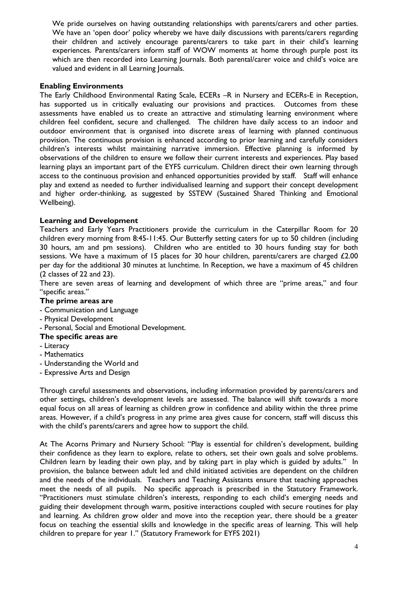We pride ourselves on having outstanding relationships with parents/carers and other parties. We have an 'open door' policy whereby we have daily discussions with parents/carers regarding their children and actively encourage parents/carers to take part in their child's learning experiences. Parents/carers inform staff of WOW moments at home through purple post its which are then recorded into Learning Journals. Both parental/carer voice and child's voice are valued and evident in all Learning Journals.

## **Enabling Environments**

The Early Childhood Environmental Rating Scale, ECERs –R in Nursery and ECERs-E in Reception, has supported us in critically evaluating our provisions and practices. Outcomes from these assessments have enabled us to create an attractive and stimulating learning environment where children feel confident, secure and challenged. The children have daily access to an indoor and outdoor environment that is organised into discrete areas of learning with planned continuous provision. The continuous provision is enhanced according to prior learning and carefully considers children's interests whilst maintaining narrative immersion. Effective planning is informed by observations of the children to ensure we follow their current interests and experiences. Play based learning plays an important part of the EYFS curriculum. Children direct their own learning through access to the continuous provision and enhanced opportunities provided by staff. Staff will enhance play and extend as needed to further individualised learning and support their concept development and higher order-thinking, as suggested by SSTEW (Sustained Shared Thinking and Emotional Wellbeing).

# **Learning and Development**

Teachers and Early Years Practitioners provide the curriculum in the Caterpillar Room for 20 children every morning from 8:45-11:45. Our Butterfly setting caters for up to 50 children (including 30 hours, am and pm sessions). Children who are entitled to 30 hours funding stay for both sessions. We have a maximum of 15 places for 30 hour children, parents/carers are charged £2.00 per day for the additional 30 minutes at lunchtime. In Reception, we have a maximum of 45 children (2 classes of 22 and 23).

There are seven areas of learning and development of which three are "prime areas," and four "specific areas."

#### **The prime areas are**

- Communication and Language
- Physical Development
- Personal, Social and Emotional Development.

#### **The specific areas are**

- Literacy
- Mathematics
- Understanding the World and
- Expressive Arts and Design

Through careful assessments and observations, including information provided by parents/carers and other settings, children's development levels are assessed. The balance will shift towards a more equal focus on all areas of learning as children grow in confidence and ability within the three prime areas. However, if a child's progress in any prime area gives cause for concern, staff will discuss this with the child's parents/carers and agree how to support the child.

At The Acorns Primary and Nursery School: "Play is essential for children's development, building their confidence as they learn to explore, relate to others, set their own goals and solve problems. Children learn by leading their own play, and by taking part in play which is guided by adults." In provision, the balance between adult led and child initiated activities are dependent on the children and the needs of the individuals. Teachers and Teaching Assistants ensure that teaching approaches meet the needs of all pupils. No specific approach is prescribed in the Statutory Framework. "Practitioners must stimulate children's interests, responding to each child's emerging needs and guiding their development through warm, positive interactions coupled with secure routines for play and learning. As children grow older and move into the reception year, there should be a greater focus on teaching the essential skills and knowledge in the specific areas of learning. This will help children to prepare for year 1." (Statutory Framework for EYFS 2021)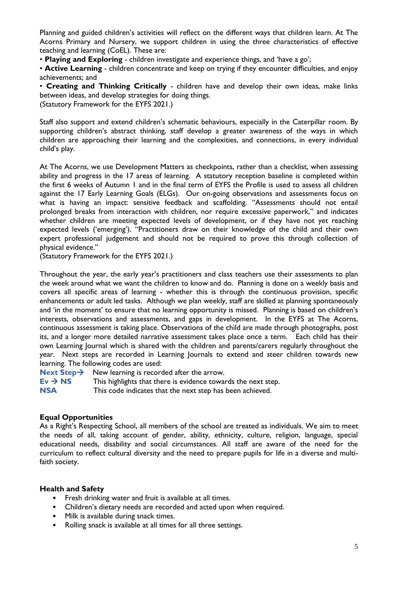Planning and guided children's activities will reflect on the different ways that children learn. At The Acorns Primary and Nursery, we support children in using the three characteristics of effective teaching and learning (CoEL). These are:

• **Playing and Exploring** - children investigate and experience things, and 'have a go';

• **Active Learning** - children concentrate and keep on trying if they encounter difficulties, and enjoy achievements; and

• **Creating and Thinking Critically** - children have and develop their own ideas, make links between ideas, and develop strategies for doing things.

(Statutory Framework for the EYFS 2021.)

Staff also support and extend children's schematic behaviours, especially in the Caterpillar room. By supporting children's abstract thinking, staff develop a greater awareness of the ways in which children are approaching their learning and the complexities, and connections, in every individual child's play.

At The Acorns, we use Development Matters as checkpoints, rather than a checklist, when assessing ability and progress in the 17 areas of learning. A statutory reception baseline is completed within the first 6 weeks of Autumn 1 and in the final term of EYFS the Profile is used to assess all children against the 17 Early Learning Goals (ELGs). Our on-going observations and assessments focus on what is having an impact: sensitive feedback and scaffolding. "Assessments should not entail prolonged breaks from interaction with children, nor require excessive paperwork," and indicates whether children are meeting expected levels of development, or if they have not yet reaching expected levels ('emerging'). "Practitioners draw on their knowledge of the child and their own expert professional judgement and should not be required to prove this through collection of physical evidence."

(Statutory Framework for the EYFS 2021.)

Throughout the year, the early year's practitioners and class teachers use their assessments to plan the week around what we want the children to know and do. Planning is done on a weekly basis and covers all specific areas of learning - whether this is through the continuous provision, specific enhancements or adult led tasks. Although we plan weekly, staff are skilled at planning spontaneously and 'in the moment' to ensure that no learning opportunity is missed. Planning is based on children's interests, observations and assessments, and gaps in development. In the EYFS at The Acorns, continuous assessment is taking place. Observations of the child are made through photographs, post its, and a longer more detailed narrative assessment takes place once a term. Each child has their own Learning Journal which is shared with the children and parents/carers regularly throughout the year. Next steps are recorded in Learning Journals to extend and steer children towards new learning. The following codes are used:

**Next Step** $\rightarrow$  New learning is recorded after the arrow.

 $Ev \rightarrow NS$  This highlights that there is evidence towards the next step.

**NSA** This code indicates that the next step has been achieved.

#### **Equal Opportunities**

As a Right's Respecting School, all members of the school are treated as individuals. We aim to meet the needs of all, taking account of gender, ability, ethnicity, culture, religion, language, special educational needs, disability and social circumstances. All staff are aware of the need for the curriculum to reflect cultural diversity and the need to prepare pupils for life in a diverse and multifaith society.

#### **Health and Safety**

- Fresh drinking water and fruit is available at all times.
- Children's dietary needs are recorded and acted upon when required.
- Milk is available during snack times.
- Rolling snack is available at all times for all three settings.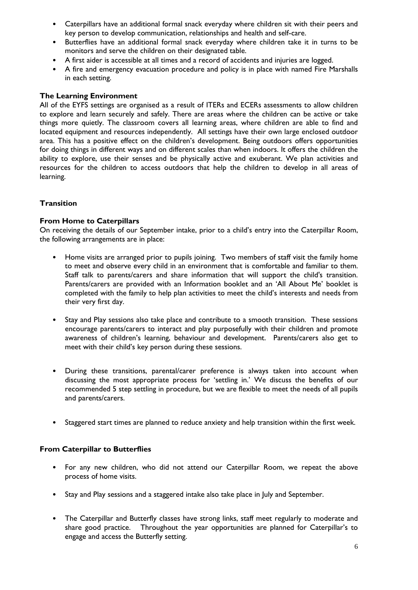- Caterpillars have an additional formal snack everyday where children sit with their peers and key person to develop communication, relationships and health and self-care.
- Butterflies have an additional formal snack everyday where children take it in turns to be monitors and serve the children on their designated table.
- A first aider is accessible at all times and a record of accidents and injuries are logged.
- A fire and emergency evacuation procedure and policy is in place with named Fire Marshalls in each setting.

## **The Learning Environment**

All of the EYFS settings are organised as a result of ITERs and ECERs assessments to allow children to explore and learn securely and safely. There are areas where the children can be active or take things more quietly. The classroom covers all learning areas, where children are able to find and located equipment and resources independently. All settings have their own large enclosed outdoor area. This has a positive effect on the children's development. Being outdoors offers opportunities for doing things in different ways and on different scales than when indoors. It offers the children the ability to explore, use their senses and be physically active and exuberant. We plan activities and resources for the children to access outdoors that help the children to develop in all areas of learning.

# **Transition**

## **From Home to Caterpillars**

On receiving the details of our September intake, prior to a child's entry into the Caterpillar Room, the following arrangements are in place:

- Home visits are arranged prior to pupils joining. Two members of staff visit the family home to meet and observe every child in an environment that is comfortable and familiar to them. Staff talk to parents/carers and share information that will support the child's transition. Parents/carers are provided with an Information booklet and an 'All About Me' booklet is completed with the family to help plan activities to meet the child's interests and needs from their very first day.
- Stay and Play sessions also take place and contribute to a smooth transition. These sessions encourage parents/carers to interact and play purposefully with their children and promote awareness of children's learning, behaviour and development. Parents/carers also get to meet with their child's key person during these sessions.
- During these transitions, parental/carer preference is always taken into account when discussing the most appropriate process for 'settling in.' We discuss the benefits of our recommended 5 step settling in procedure, but we are flexible to meet the needs of all pupils and parents/carers.
- Staggered start times are planned to reduce anxiety and help transition within the first week.

# **From Caterpillar to Butterflies**

- For any new children, who did not attend our Caterpillar Room, we repeat the above process of home visits.
- Stay and Play sessions and a staggered intake also take place in July and September.
- The Caterpillar and Butterfly classes have strong links, staff meet regularly to moderate and share good practice. Throughout the year opportunities are planned for Caterpillar's to engage and access the Butterfly setting.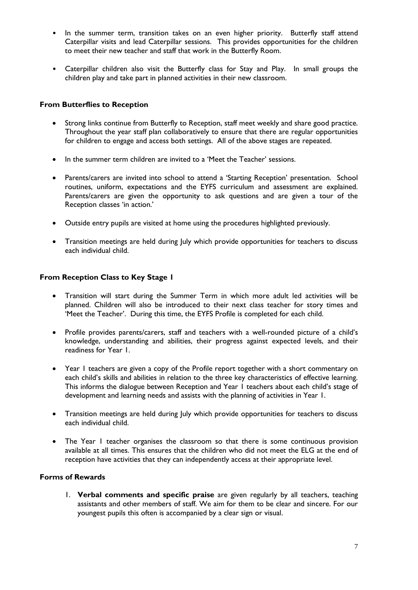- In the summer term, transition takes on an even higher priority. Butterfly staff attend Caterpillar visits and lead Caterpillar sessions. This provides opportunities for the children to meet their new teacher and staff that work in the Butterfly Room.
- Caterpillar children also visit the Butterfly class for Stay and Play. In small groups the children play and take part in planned activities in their new classroom.

## **From Butterflies to Reception**

- Strong links continue from Butterfly to Reception, staff meet weekly and share good practice. Throughout the year staff plan collaboratively to ensure that there are regular opportunities for children to engage and access both settings. All of the above stages are repeated.
- In the summer term children are invited to a 'Meet the Teacher' sessions.
- Parents/carers are invited into school to attend a 'Starting Reception' presentation. School routines, uniform, expectations and the EYFS curriculum and assessment are explained. Parents/carers are given the opportunity to ask questions and are given a tour of the Reception classes 'in action.'
- Outside entry pupils are visited at home using the procedures highlighted previously.
- Transition meetings are held during July which provide opportunities for teachers to discuss each individual child.

# **From Reception Class to Key Stage 1**

- Transition will start during the Summer Term in which more adult led activities will be planned. Children will also be introduced to their next class teacher for story times and 'Meet the Teacher'. During this time, the EYFS Profile is completed for each child.
- Profile provides parents/carers, staff and teachers with a well-rounded picture of a child's knowledge, understanding and abilities, their progress against expected levels, and their readiness for Year 1.
- Year 1 teachers are given a copy of the Profile report together with a short commentary on each child's skills and abilities in relation to the three key characteristics of effective learning. This informs the dialogue between Reception and Year 1 teachers about each child's stage of development and learning needs and assists with the planning of activities in Year 1.
- Transition meetings are held during July which provide opportunities for teachers to discuss each individual child.
- The Year I teacher organises the classroom so that there is some continuous provision available at all times. This ensures that the children who did not meet the ELG at the end of reception have activities that they can independently access at their appropriate level.

# **Forms of Rewards**

1. **Verbal comments and specific praise** are given regularly by all teachers, teaching assistants and other members of staff. We aim for them to be clear and sincere. For our youngest pupils this often is accompanied by a clear sign or visual.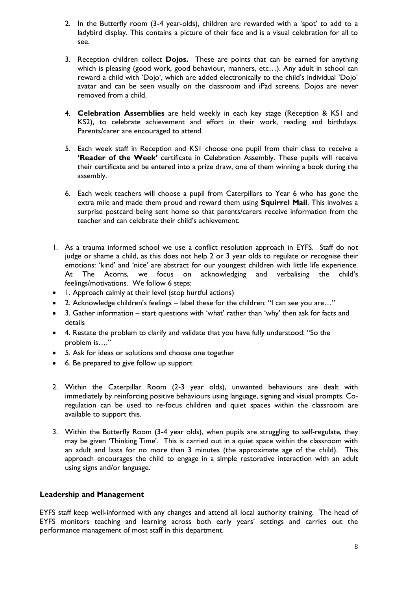- 2. In the Butterfly room (3-4 year-olds), children are rewarded with a 'spot' to add to a ladybird display. This contains a picture of their face and is a visual celebration for all to see.
- 3. Reception children collect **Dojos.** These are points that can be earned for anything which is pleasing (good work, good behaviour, manners, etc…). Any adult in school can reward a child with 'Dojo', which are added electronically to the child's individual 'Dojo' avatar and can be seen visually on the classroom and iPad screens. Dojos are never removed from a child.
- 4. **Celebration Assemblies** are held weekly in each key stage (Reception & KS1 and KS2), to celebrate achievement and effort in their work, reading and birthdays. Parents/carer are encouraged to attend.
- 5. Each week staff in Reception and KS1 choose one pupil from their class to receive a **'Reader of the Week'** certificate in Celebration Assembly. These pupils will receive their certificate and be entered into a prize draw, one of them winning a book during the assembly.
- 6. Each week teachers will choose a pupil from Caterpillars to Year 6 who has gone the extra mile and made them proud and reward them using **Squirrel Mail**. This involves a surprise postcard being sent home so that parents/carers receive information from the teacher and can celebrate their child's achievement.
- 1. As a trauma informed school we use a conflict resolution approach in EYFS. Staff do not judge or shame a child, as this does not help 2 or 3 year olds to regulate or recognise their emotions: 'kind' and 'nice' are abstract for our youngest children with little life experience. At The Acorns, we focus on acknowledging and verbalising the child's feelings/motivations. We follow 6 steps:
- 1. Approach calmly at their level (stop hurtful actions)
- 2. Acknowledge children's feelings label these for the children: "I can see you are…"
- 3. Gather information start questions with 'what' rather than 'why' then ask for facts and details
- 4. Restate the problem to clarify and validate that you have fully understood: "So the problem is…."
- 5. Ask for ideas or solutions and choose one together
- 6. Be prepared to give follow up support
- 2. Within the Caterpillar Room (2-3 year olds), unwanted behaviours are dealt with immediately by reinforcing positive behaviours using language, signing and visual prompts. Coregulation can be used to re-focus children and quiet spaces within the classroom are available to support this.
- 3. Within the Butterfly Room (3-4 year olds), when pupils are struggling to self-regulate, they may be given 'Thinking Time'. This is carried out in a quiet space within the classroom with an adult and lasts for no more than 3 minutes (the approximate age of the child). This approach encourages the child to engage in a simple restorative interaction with an adult using signs and/or language.

#### **Leadership and Management**

EYFS staff keep well-informed with any changes and attend all local authority training. The head of EYFS monitors teaching and learning across both early years' settings and carries out the performance management of most staff in this department.